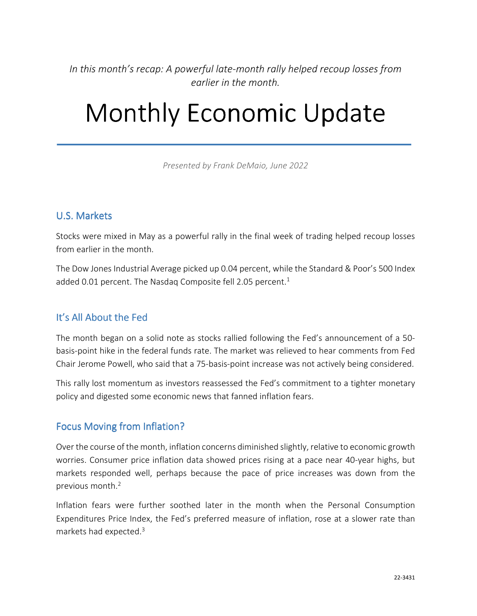In this month's recap: A powerful late-month rally helped recoup losses from *earlier in the month.* 

# Monthly Economic Update

*Presented by Frank DeMaio, June 2022*

#### U.S. Markets

Stocks were mixed in May as a powerful rally in the final week of trading helped recoup losses from earlier in the month.

The Dow Jones Industrial Average picked up 0.04 percent, while the Standard & Poor's 500 Index added 0.01 percent. The Nasdaq Composite fell 2.05 percent. $<sup>1</sup>$ </sup>

#### It's All About the Fed

The month began on a solid note as stocks rallied following the Fed's announcement of a 50 basis-point hike in the federal funds rate. The market was relieved to hear comments from Fed Chair Jerome Powell, who said that a 75-basis-point increase was not actively being considered.

This rally lost momentum as investors reassessed the Fed's commitment to a tighter monetary policy and digested some economic news that fanned inflation fears.

#### Focus Moving from Inflation?

Over the course of the month, inflation concerns diminished slightly, relative to economic growth worries. Consumer price inflation data showed prices rising at a pace near 40-year highs, but markets responded well, perhaps because the pace of price increases was down from the previous month.<sup>2</sup>

Inflation fears were further soothed later in the month when the Personal Consumption Expenditures Price Index, the Fed's preferred measure of inflation, rose at a slower rate than markets had expected.3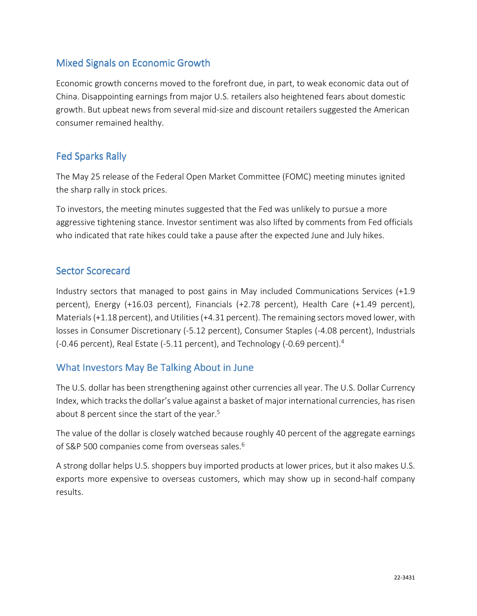# Mixed Signals on Economic Growth

Economic growth concerns moved to the forefront due, in part, to weak economic data out of China. Disappointing earnings from major U.S. retailers also heightened fears about domestic growth. But upbeat news from several mid-size and discount retailers suggested the American consumer remained healthy.

# **Fed Sparks Rally**

The May 25 release of the Federal Open Market Committee (FOMC) meeting minutes ignited the sharp rally in stock prices.

To investors, the meeting minutes suggested that the Fed was unlikely to pursue a more aggressive tightening stance. Investor sentiment was also lifted by comments from Fed officials who indicated that rate hikes could take a pause after the expected June and July hikes.

#### Sector Scorecard

Industry sectors that managed to post gains in May included Communications Services (+1.9 percent), Energy (+16.03 percent), Financials (+2.78 percent), Health Care (+1.49 percent), Materials (+1.18 percent), and Utilities (+4.31 percent). The remaining sectors moved lower, with losses in Consumer Discretionary (-5.12 percent), Consumer Staples (-4.08 percent), Industrials (-0.46 percent), Real Estate (-5.11 percent), and Technology (-0.69 percent).<sup>4</sup>

# What Investors May Be Talking About in June

The U.S. dollar has been strengthening against other currencies all year. The U.S. Dollar Currency Index, which tracks the dollar's value against a basket of major international currencies, has risen about 8 percent since the start of the year.<sup>5</sup>

The value of the dollar is closely watched because roughly 40 percent of the aggregate earnings of S&P 500 companies come from overseas sales.<sup>6</sup>

A strong dollar helps U.S. shoppers buy imported products at lower prices, but it also makes U.S. exports more expensive to overseas customers, which may show up in second-half company results.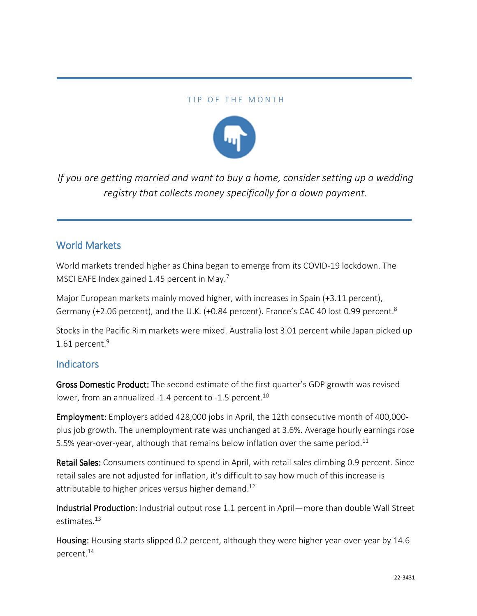#### TIP OF THE MONTH



*If you are getting married and want to buy a home, consider setting up a wedding registry that collects money specifically for a down payment.*

#### World Markets

World markets trended higher as China began to emerge from its COVID-19 lockdown. The MSCI EAFE Index gained 1.45 percent in May.<sup>7</sup>

Major European markets mainly moved higher, with increases in Spain (+3.11 percent), Germany (+2.06 percent), and the U.K. (+0.84 percent). France's CAC 40 lost 0.99 percent.<sup>8</sup>

Stocks in the Pacific Rim markets were mixed. Australia lost 3.01 percent while Japan picked up 1.61 percent. $9$ 

#### **Indicators**

Gross Domestic Product: The second estimate of the first quarter's GDP growth was revised lower, from an annualized -1.4 percent to -1.5 percent.<sup>10</sup>

Employment: Employers added 428,000 jobs in April, the 12th consecutive month of 400,000plus job growth. The unemployment rate was unchanged at 3.6%. Average hourly earnings rose 5.5% year-over-year, although that remains below inflation over the same period.<sup>11</sup>

Retail Sales: Consumers continued to spend in April, with retail sales climbing 0.9 percent. Since retail sales are not adjusted for inflation, it's difficult to say how much of this increase is attributable to higher prices versus higher demand.<sup>12</sup>

Industrial Production: Industrial output rose 1.1 percent in April—more than double Wall Street estimates.<sup>13</sup>

Housing: Housing starts slipped 0.2 percent, although they were higher year-over-year by 14.6 percent.14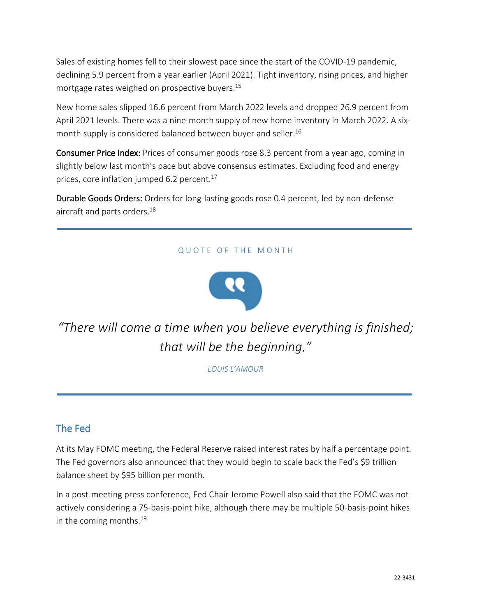Sales of existing homes fell to their slowest pace since the start of the COVID-19 pandemic, declining 5.9 percent from a year earlier (April 2021). Tight inventory, rising prices, and higher mortgage rates weighed on prospective buyers.<sup>15</sup>

New home sales slipped 16.6 percent from March 2022 levels and dropped 26.9 percent from April 2021 levels. There was a nine-month supply of new home inventory in March 2022. A sixmonth supply is considered balanced between buyer and seller.<sup>16</sup>

Consumer Price Index: Prices of consumer goods rose 8.3 percent from a year ago, coming in slightly below last month's pace but above consensus estimates. Excluding food and energy prices, core inflation jumped 6.2 percent.<sup>17</sup>

Durable Goods Orders: Orders for long-lasting goods rose 0.4 percent, led by non-defense aircraft and parts orders.<sup>18</sup>

#### QUOTE OF THE MONTH



*"There will come a time when you believe everything is finished; that will be the beginning."* 

*LOUIS L'AMOUR*

# The Fed

At its May FOMC meeting, the Federal Reserve raised interest rates by half a percentage point. The Fed governors also announced that they would begin to scale back the Fed's \$9 trillion balance sheet by \$95 billion per month.

In a post-meeting press conference, Fed Chair Jerome Powell also said that the FOMC was not actively considering a 75-basis-point hike, although there may be multiple 50-basis-point hikes in the coming months.<sup>19</sup>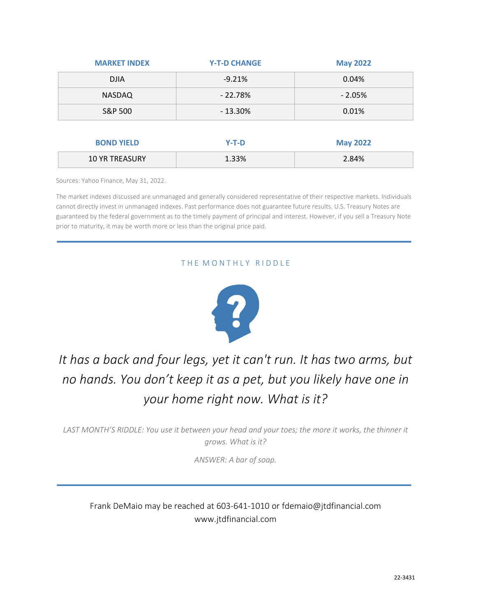| <b>MARKET INDEX</b> | <b>Y-T-D CHANGE</b> | <b>May 2022</b> |
|---------------------|---------------------|-----------------|
| <b>DJIA</b>         | $-9.21%$            | 0.04%           |
| <b>NASDAQ</b>       | $-22.78%$           | $-2.05%$        |
| S&P 500             | $-13.30%$           | 0.01%           |
|                     |                     |                 |
| <b>BOND YIELD</b>   | $Y-T-D$             | <b>May 2022</b> |

Sources: Yahoo Finance, May 31, 2022.

The market indexes discussed are unmanaged and generally considered representative of their respective markets. Individuals cannot directly invest in unmanaged indexes. Past performance does not guarantee future results. U.S. Treasury Notes are guaranteed by the federal government as to the timely payment of principal and interest. However, if you sell a Treasury Note prior to maturity, it may be worth more or less than the original price paid.

10 YR TREASURY 1.33% 2.84%

#### THE MONTHLY RIDDLE



# *It has a back and four legs, yet it can't run. It has two arms, but no hands. You don't keep it as a pet, but you likely have one in your home right now. What is it?*

*LAST MONTH'S RIDDLE: You use it between your head and your toes; the more it works, the thinner it grows. What is it?* 

*ANSWER: A bar of soap.* 

#### Frank DeMaio may be reached at 603-641-1010 or fdemaio@jtdfinancial.com www.jtdfinancial.com